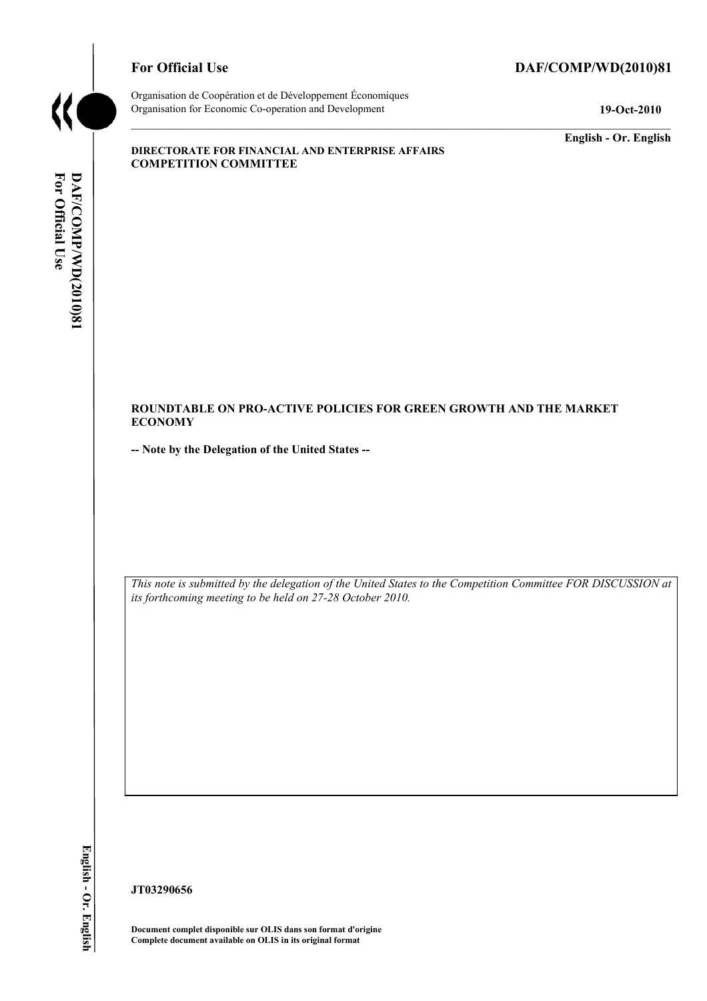

## For Official Use DAF/COMP/WD(2010)81

Organisation de Coopération et de Développement Économiques Organisation for Economic Co-operation and Development **19-Oct-2010** 

**English - Or. English** 

#### **DIRECTORATE FOR FINANCIAL AND ENTERPRISE AFFAIRS COMPETITION COMMITTEE**

## **ROUNDTABLE ON PRO-ACTIVE POLICIES FOR GREEN GROWTH AND THE MARKET ECONOMY**

**-- Note by the Delegation of the United States --** 

 *This note is submitted by the delegation of the United States to the Competition Committee FOR DISCUSSION at its forthcoming meeting to be held on 27-28 October 2010.* 

**/WD(2010)81 English - Or. English**  English - Or. English

**JT03290656** 

 **Document complet disponible sur OLIS dans son format d'origine Complete document available on OLIS in its original format**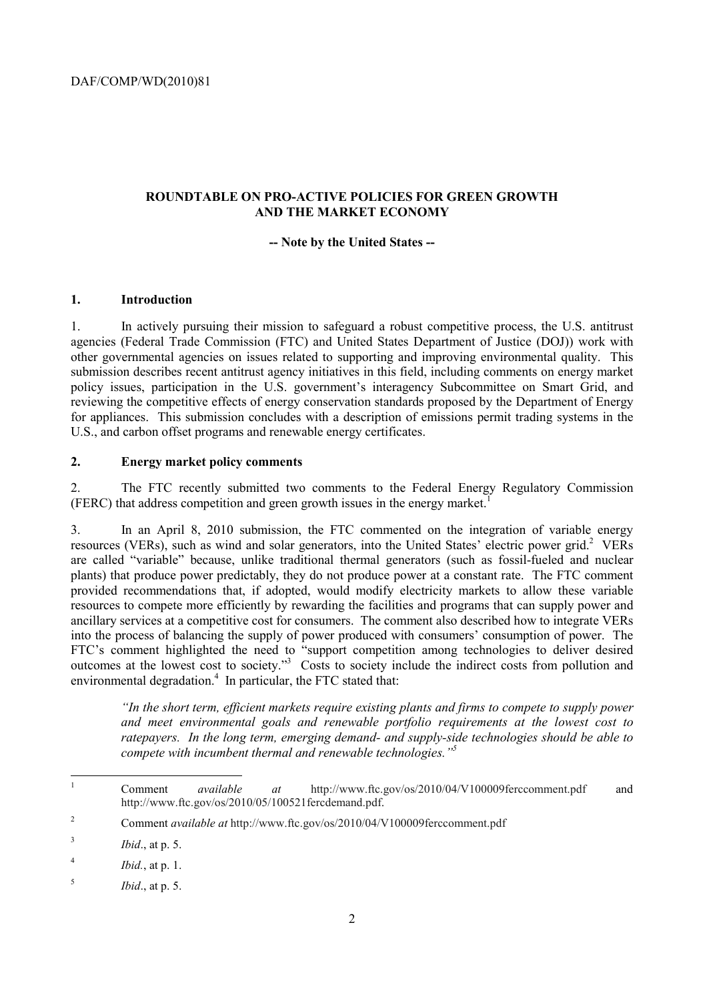# **ROUNDTABLE ON PRO-ACTIVE POLICIES FOR GREEN GROWTH AND THE MARKET ECONOMY**

## **-- Note by the United States --**

## **1. Introduction**

1. In actively pursuing their mission to safeguard a robust competitive process, the U.S. antitrust agencies (Federal Trade Commission (FTC) and United States Department of Justice (DOJ)) work with other governmental agencies on issues related to supporting and improving environmental quality. This submission describes recent antitrust agency initiatives in this field, including comments on energy market policy issues, participation in the U.S. government's interagency Subcommittee on Smart Grid, and reviewing the competitive effects of energy conservation standards proposed by the Department of Energy for appliances. This submission concludes with a description of emissions permit trading systems in the U.S., and carbon offset programs and renewable energy certificates.

## **2. Energy market policy comments**

2. The FTC recently submitted two comments to the Federal Energy Regulatory Commission (FERC) that address competition and green growth issues in the energy market.<sup>1</sup>

3. In an April 8, 2010 submission, the FTC commented on the integration of variable energy resources (VERs), such as wind and solar generators, into the United States' electric power grid.<sup>2</sup> VERs are called "variable" because, unlike traditional thermal generators (such as fossil-fueled and nuclear plants) that produce power predictably, they do not produce power at a constant rate. The FTC comment provided recommendations that, if adopted, would modify electricity markets to allow these variable resources to compete more efficiently by rewarding the facilities and programs that can supply power and ancillary services at a competitive cost for consumers. The comment also described how to integrate VERs into the process of balancing the supply of power produced with consumers' consumption of power. The FTC's comment highlighted the need to "support competition among technologies to deliver desired outcomes at the lowest cost to society."<sup>3</sup> Costs to society include the indirect costs from pollution and environmental degradation.<sup>4</sup> In particular, the FTC stated that:

*"In the short term, efficient markets require existing plants and firms to compete to supply power and meet environmental goals and renewable portfolio requirements at the lowest cost to ratepayers. In the long term, emerging demand- and supply-side technologies should be able to compete with incumbent thermal and renewable technologies."5* 

 1 Comment *available at* http://www.ftc.gov/os/2010/04/V100009ferccomment.pdf and http://www.ftc.gov/os/2010/05/100521fercdemand.pdf.

<sup>2</sup> Comment *available at* http://www.ftc.gov/os/2010/04/V100009ferccomment.pdf

<sup>3</sup>*Ibid*., at p. 5.

<sup>4</sup>*Ibid.*, at p. 1.

<sup>5</sup>*Ibid*., at p. 5.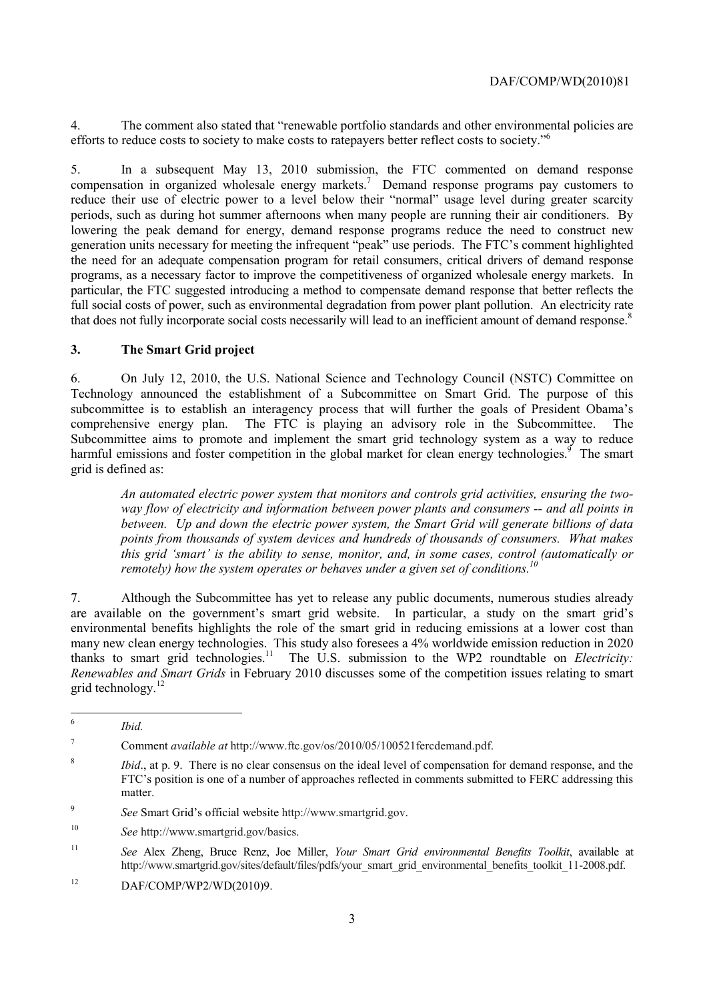4. The comment also stated that "renewable portfolio standards and other environmental policies are efforts to reduce costs to society to make costs to ratepayers better reflect costs to society."<sup>6</sup>

that does not fully incorporate social costs necessarily will lead to an inefficient amount of demand response.<sup>8</sup> 5. In a subsequent May 13, 2010 submission, the FTC commented on demand response compensation in organized wholesale energy markets.<sup>7</sup> Demand response programs pay customers to reduce their use of electric power to a level below their "normal" usage level during greater scarcity periods, such as during hot summer afternoons when many people are running their air conditioners. By lowering the peak demand for energy, demand response programs reduce the need to construct new generation units necessary for meeting the infrequent "peak" use periods. The FTC's comment highlighted the need for an adequate compensation program for retail consumers, critical drivers of demand response programs, as a necessary factor to improve the competitiveness of organized wholesale energy markets. In particular, the FTC suggested introducing a method to compensate demand response that better reflects the full social costs of power, such as environmental degradation from power plant pollution. An electricity rate

## **3. The Smart Grid project**

6. On July 12, 2010, the U.S. National Science and Technology Council (NSTC) Committee on Technology announced the establishment of a Subcommittee on Smart Grid. The purpose of this subcommittee is to establish an interagency process that will further the goals of President Obama's comprehensive energy plan. The FTC is playing an advisory role in the Subcommittee. The Subcommittee aims to promote and implement the smart grid technology system as a way to reduce harmful emissions and foster competition in the global market for clean energy technologies.<sup>9</sup> The smart grid is defined as:

*An automated electric power system that monitors and controls grid activities, ensuring the twoway flow of electricity and information between power plants and consumers -- and all points in between. Up and down the electric power system, the Smart Grid will generate billions of data points from thousands of system devices and hundreds of thousands of consumers. What makes this grid 'smart' is the ability to sense, monitor, and, in some cases, control (automatically or remotely) how the system operates or behaves under a given set of conditions.*<sup>16</sup>

 environmental benefits highlights the role of the smart grid in reducing emissions at a lower cost than 7. Although the Subcommittee has yet to release any public documents, numerous studies already are available on the government's smart grid website. In particular, a study on the smart grid's many new clean energy technologies. This study also foresees a 4% worldwide emission reduction in 2020 thanks to smart grid technologies.11 The U.S. submission to the WP2 roundtable on *Electricity: Renewables and Smart Grids* in February 2010 discusses some of the competition issues relating to smart grid technology.<sup>12</sup>

<sup>9</sup>*See* Smart Grid's official website http://www.smartgrid.gov.

 <sup>6</sup>*Ibid.* 

 $\overline{7}$ 7 Comment *available at* http://www.ftc.gov/os/2010/05/100521fercdemand.pdf.

<sup>8</sup>*Ibid*., at p. 9. There is no clear consensus on the ideal level of compensation for demand response, and the FTC's position is one of a number of approaches reflected in comments submitted to FERC addressing this matter.

<sup>10</sup>*See* http://www.smartgrid.gov/basics.

<sup>11</sup>*See* Alex Zheng, Bruce Renz, Joe Miller, *Your Smart Grid environmental Benefits Toolkit*, available at http://www.smartgrid.gov/sites/default/files/pdfs/your\_smart\_grid\_environmental\_benefits\_toolkit\_11-2008.pdf.

 $12$ 12 DAF/COMP/WP2/WD(2010)9.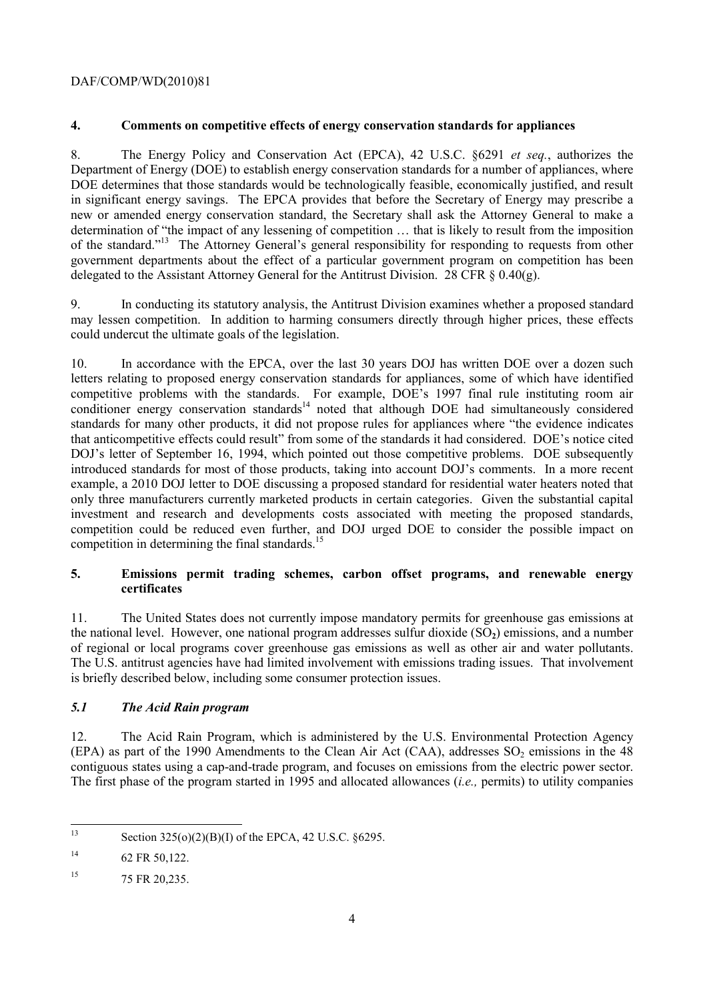## **4. Comments on competitive effects of energy conservation standards for appliances**

8. The Energy Policy and Conservation Act (EPCA), 42 U.S.C. §6291 *et seq.*, authorizes the Department of Energy (DOE) to establish energy conservation standards for a number of appliances, where DOE determines that those standards would be technologically feasible, economically justified, and result in significant energy savings. The EPCA provides that before the Secretary of Energy may prescribe a new or amended energy conservation standard, the Secretary shall ask the Attorney General to make a determination of "the impact of any lessening of competition … that is likely to result from the imposition of the standard."13 The Attorney General's general responsibility for responding to requests from other government departments about the effect of a particular government program on competition has been delegated to the Assistant Attorney General for the Antitrust Division. 28 CFR  $\S$  0.40(g).

9. In conducting its statutory analysis, the Antitrust Division examines whether a proposed standard may lessen competition. In addition to harming consumers directly through higher prices, these effects could undercut the ultimate goals of the legislation.

10. In accordance with the EPCA, over the last 30 years DOJ has written DOE over a dozen such letters relating to proposed energy conservation standards for appliances, some of which have identified competitive problems with the standards. For example, DOE's 1997 final rule instituting room air conditioner energy conservation standards<sup>14</sup> noted that although DOE had simultaneously considered standards for many other products, it did not propose rules for appliances where "the evidence indicates that anticompetitive effects could result" from some of the standards it had considered. DOE's notice cited DOJ's letter of September 16, 1994, which pointed out those competitive problems. DOE subsequently introduced standards for most of those products, taking into account DOJ's comments. In a more recent example, a 2010 DOJ letter to DOE discussing a proposed standard for residential water heaters noted that only three manufacturers currently marketed products in certain categories. Given the substantial capital investment and research and developments costs associated with meeting the proposed standards, competition could be reduced even further, and DOJ urged DOE to consider the possible impact on competition in determining the final standards.<sup>15</sup>

## **5. Emissions permit trading schemes, carbon offset programs, and renewable energy certificates**

of regional or local programs cover greenhouse gas emissions as well as other air and water pollutants. 11. The United States does not currently impose mandatory permits for greenhouse gas emissions at the national level. However, one national program addresses sulfur dioxide (SO**2**) emissions, and a number The U.S. antitrust agencies have had limited involvement with emissions trading issues. That involvement is briefly described below, including some consumer protection issues.

## *5.1 The Acid Rain program*

(EPA) as part of the 1990 Amendments to the Clean Air Act (CAA), addresses  $SO_2$  emissions in the 48 contiguous states using a cap-and-trade program, and focuses on emissions from the electric power sector. 12. The Acid Rain Program, which is administered by the U.S. Environmental Protection Agency The first phase of the program started in 1995 and allocated allowances (*i.e.*, permits) to utility companies

 $13$ Section  $325(0)(2)(B)(I)$  of the EPCA, 42 U.S.C. §6295.

 $14$ 62 FR 50,122.

<sup>&</sup>lt;sup>15</sup> 75 FR 20,235.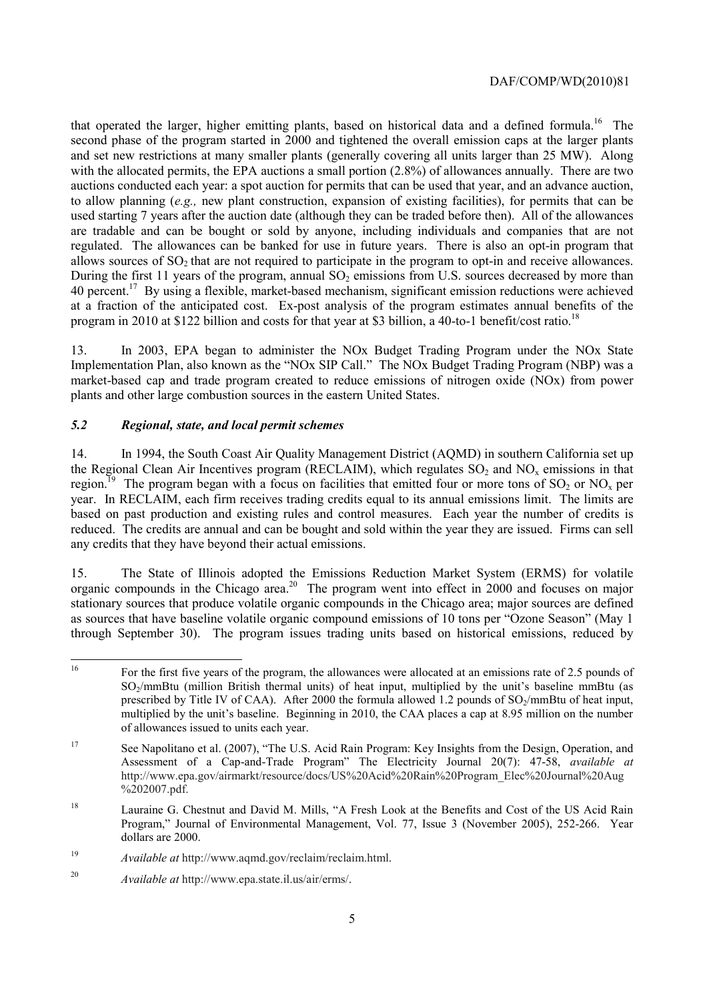that operated the larger, higher emitting plants, based on historical data and a defined formula.<sup>16</sup> The are tradable and can be bought or sold by anyone, including individuals and companies that are not allows sources of SO<sub>2</sub> that are not required to participate in the program to opt-in and receive allowances. second phase of the program started in 2000 and tightened the overall emission caps at the larger plants and set new restrictions at many smaller plants (generally covering all units larger than 25 MW). Along with the allocated permits, the EPA auctions a small portion  $(2.8\%)$  of allowances annually. There are two auctions conducted each year: a spot auction for permits that can be used that year, and an advance auction, to allow planning (*e.g.,* new plant construction, expansion of existing facilities), for permits that can be used starting 7 years after the auction date (although they can be traded before then). All of the allowances regulated. The allowances can be banked for use in future years. There is also an opt-in program that During the first 11 years of the program, annual  $SO<sub>2</sub>$  emissions from U.S. sources decreased by more than 40 percent.<sup>17</sup> By using a flexible, market-based mechanism, significant emission reductions were achieved at a fraction of the anticipated cost. Ex-post analysis of the program estimates annual benefits of the program in 2010 at \$122 billion and costs for that year at \$3 billion, a 40-to-1 benefit/cost ratio.<sup>18</sup>

13. In 2003, EPA began to administer the NOx Budget Trading Program under the NOx State Implementation Plan, also known as the "NOx SIP Call." The NOx Budget Trading Program (NBP) was a market-based cap and trade program created to reduce emissions of nitrogen oxide (NOx) from power plants and other large combustion sources in the eastern United States.

## *5.2 Regional, state, and local permit schemes*

 14. In 1994, the South Coast Air Quality Management District (AQMD) in southern California set up the Regional Clean Air Incentives program (RECLAIM), which regulates  $SO_2$  and  $NO<sub>x</sub>$  emissions in that region.<sup>19</sup> The program began with a focus on facilities that emitted four or more tons of SO<sub>2</sub> or NO<sub>x</sub> per year. In RECLAIM, each firm receives trading credits equal to its annual emissions limit. The limits are based on past production and existing rules and control measures. Each year the number of credits is reduced. The credits are annual and can be bought and sold within the year they are issued. Firms can sell any credits that they have beyond their actual emissions.

15. The State of Illinois adopted the Emissions Reduction Market System (ERMS) for volatile organic compounds in the Chicago area.20 The program went into effect in 2000 and focuses on major stationary sources that produce volatile organic compounds in the Chicago area; major sources are defined as sources that have baseline volatile organic compound emissions of 10 tons per "Ozone Season" (May 1 through September 30). The program issues trading units based on historical emissions, reduced by

 of allowances issued to units each year. 16 For the first five years of the program, the allowances were allocated at an emissions rate of 2.5 pounds of SO<sub>2</sub>/mmBtu (million British thermal units) of heat input, multiplied by the unit's baseline mmBtu (as prescribed by Title IV of CAA). After 2000 the formula allowed 1.2 pounds of  $SO_2/mm$ Btu of heat input, multiplied by the unit's baseline. Beginning in 2010, the CAA places a cap at 8.95 million on the number

<sup>17</sup> See Napolitano et al. (2007), "The U.S. Acid Rain Program: Key Insights from the Design, Operation, and Assessment of a Cap-and-Trade Program" The Electricity Journal 20(7): 47-58, *available at*  http://www.epa.gov/airmarkt/resource/docs/US%20Acid%20Rain%20Program\_Elec%20Journal%20Aug %202007.pdf.

<sup>&</sup>lt;sup>18</sup> Lauraine G. Chestnut and David M. Mills, "A Fresh Look at the Benefits and Cost of the US Acid Rain Program," Journal of Environmental Management, Vol. 77, Issue 3 (November 2005), 252-266. Year dollars are 2000.

<sup>19</sup> <sup>19</sup>*Available at* http://www.aqmd.gov/reclaim/reclaim.html.

<sup>20</sup>*Available at* http://www.epa.state.il.us/air/erms/.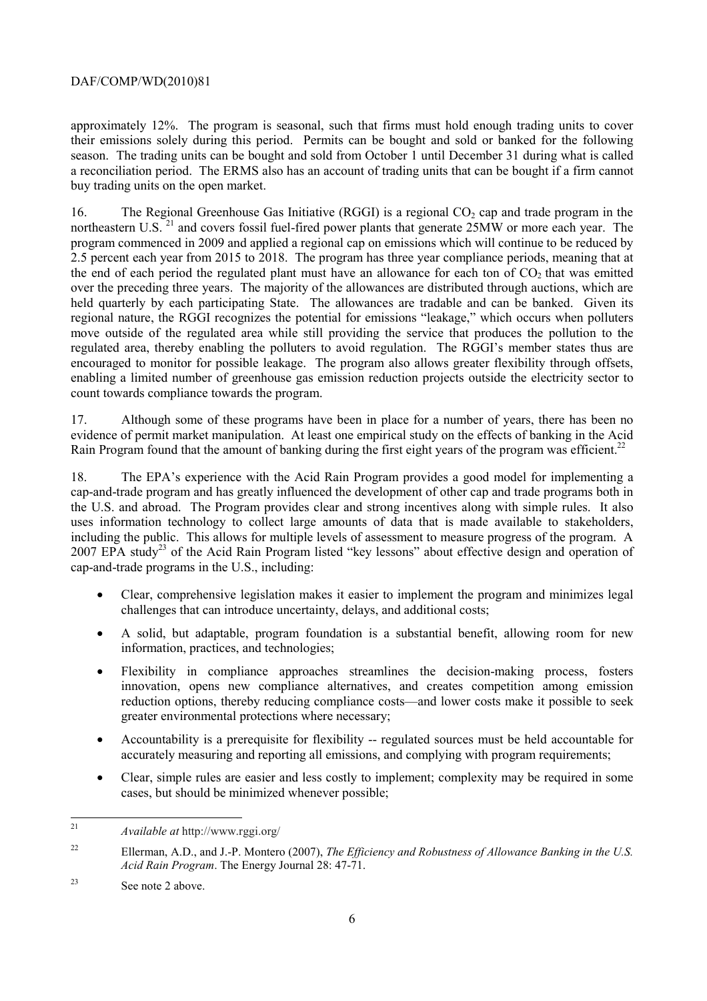a reconciliation period. The ERMS also has an account of trading units that can be bought if a firm cannot approximately 12%. The program is seasonal, such that firms must hold enough trading units to cover their emissions solely during this period. Permits can be bought and sold or banked for the following season. The trading units can be bought and sold from October 1 until December 31 during what is called buy trading units on the open market.

 regulated area, thereby enabling the polluters to avoid regulation. The RGGI's member states thus are 16. The Regional Greenhouse Gas Initiative (RGGI) is a regional  $CO<sub>2</sub>$  cap and trade program in the northeastern U.S.<sup>21</sup> and covers fossil fuel-fired power plants that generate 25MW or more each year. The program commenced in 2009 and applied a regional cap on emissions which will continue to be reduced by 2.5 percent each year from 2015 to 2018. The program has three year compliance periods, meaning that at the end of each period the regulated plant must have an allowance for each ton of  $CO<sub>2</sub>$  that was emitted over the preceding three years. The majority of the allowances are distributed through auctions, which are held quarterly by each participating State. The allowances are tradable and can be banked. Given its regional nature, the RGGI recognizes the potential for emissions "leakage," which occurs when polluters move outside of the regulated area while still providing the service that produces the pollution to the encouraged to monitor for possible leakage. The program also allows greater flexibility through offsets, enabling a limited number of greenhouse gas emission reduction projects outside the electricity sector to count towards compliance towards the program.

17. Although some of these programs have been in place for a number of years, there has been no evidence of permit market manipulation. At least one empirical study on the effects of banking in the Acid Rain Program found that the amount of banking during the first eight years of the program was efficient.<sup>22</sup>

18. The EPA's experience with the Acid Rain Program provides a good model for implementing a cap-and-trade program and has greatly influenced the development of other cap and trade programs both in the U.S. and abroad. The Program provides clear and strong incentives along with simple rules. It also uses information technology to collect large amounts of data that is made available to stakeholders, including the public. This allows for multiple levels of assessment to measure progress of the program. A 2007 EPA study<sup>23</sup> of the Acid Rain Program listed "key lessons" about effective design and operation of cap-and-trade programs in the U.S., including:

- Clear, comprehensive legislation makes it easier to implement the program and minimizes legal challenges that can introduce uncertainty, delays, and additional costs;
- A solid, but adaptable, program foundation is a substantial benefit, allowing room for new information, practices, and technologies;
- Flexibility in compliance approaches streamlines the decision-making process, fosters innovation, opens new compliance alternatives, and creates competition among emission reduction options, thereby reducing compliance costs—and lower costs make it possible to seek greater environmental protections where necessary;
- Accountability is a prerequisite for flexibility -- regulated sources must be held accountable for accurately measuring and reporting all emissions, and complying with program requirements;
- Clear, simple rules are easier and less costly to implement; complexity may be required in some cases, but should be minimized whenever possible;

 $\overline{a}$ 

<sup>21</sup>*Available at* http://www.rggi.org/

<sup>22</sup> Ellerman, A.D., and J.-P. Montero (2007), *The Efficiency and Robustness of Allowance Banking in the U.S. Acid Rain Program*. The Energy Journal 28: 47-71.

 $23$ See note 2 above.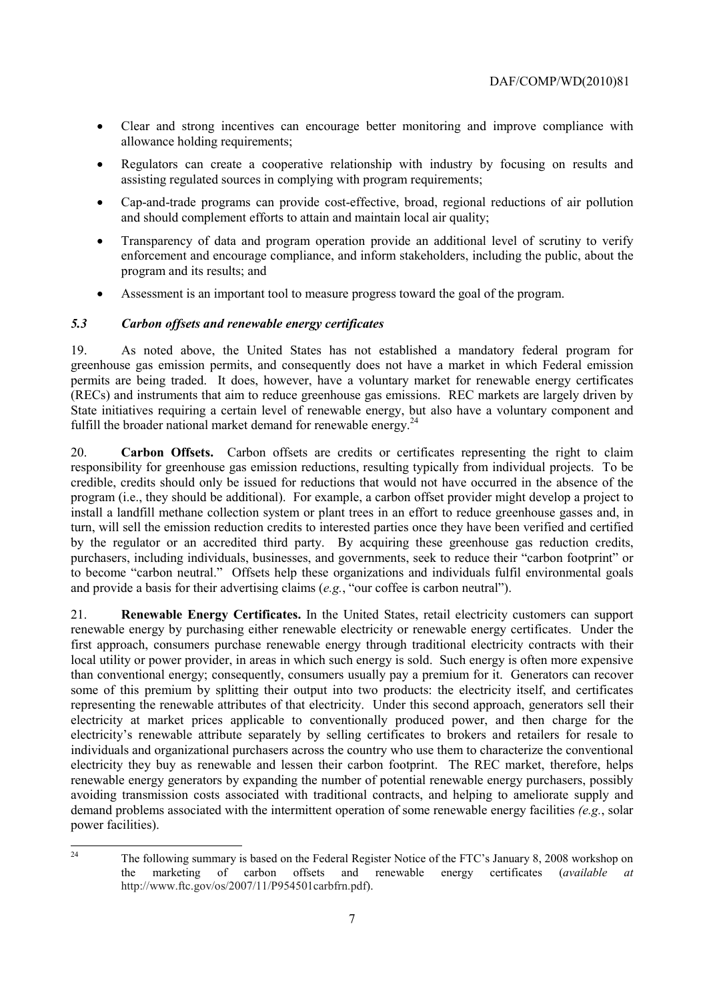- Clear and strong incentives can encourage better monitoring and improve compliance with allowance holding requirements;
- Regulators can create a cooperative relationship with industry by focusing on results and assisting regulated sources in complying with program requirements;
- Cap-and-trade programs can provide cost-effective, broad, regional reductions of air pollution and should complement efforts to attain and maintain local air quality;
- • Transparency of data and program operation provide an additional level of scrutiny to verify enforcement and encourage compliance, and inform stakeholders, including the public, about the program and its results; and
- Assessment is an important tool to measure progress toward the goal of the program.

## *5.3 Carbon offsets and renewable energy certificates*

19. As noted above, the United States has not established a mandatory federal program for greenhouse gas emission permits, and consequently does not have a market in which Federal emission permits are being traded. It does, however, have a voluntary market for renewable energy certificates (RECs) and instruments that aim to reduce greenhouse gas emissions. REC markets are largely driven by State initiatives requiring a certain level of renewable energy, but also have a voluntary component and fulfill the broader national market demand for renewable energy.<sup>24</sup>

 20. **Carbon Offsets.** Carbon offsets are credits or certificates representing the right to claim responsibility for greenhouse gas emission reductions, resulting typically from individual projects. To be credible, credits should only be issued for reductions that would not have occurred in the absence of the program (i.e., they should be additional). For example, a carbon offset provider might develop a project to install a landfill methane collection system or plant trees in an effort to reduce greenhouse gasses and, in turn, will sell the emission reduction credits to interested parties once they have been verified and certified by the regulator or an accredited third party. By acquiring these greenhouse gas reduction credits, purchasers, including individuals, businesses, and governments, seek to reduce their "carbon footprint" or to become "carbon neutral." Offsets help these organizations and individuals fulfil environmental goals and provide a basis for their advertising claims (*e.g.*, "our coffee is carbon neutral").

 electricity they buy as renewable and lessen their carbon footprint. The REC market, therefore, helps 21. **Renewable Energy Certificates.** In the United States, retail electricity customers can support renewable energy by purchasing either renewable electricity or renewable energy certificates. Under the first approach, consumers purchase renewable energy through traditional electricity contracts with their local utility or power provider, in areas in which such energy is sold. Such energy is often more expensive than conventional energy; consequently, consumers usually pay a premium for it. Generators can recover some of this premium by splitting their output into two products: the electricity itself, and certificates representing the renewable attributes of that electricity. Under this second approach, generators sell their electricity at market prices applicable to conventionally produced power, and then charge for the electricity's renewable attribute separately by selling certificates to brokers and retailers for resale to individuals and organizational purchasers across the country who use them to characterize the conventional renewable energy generators by expanding the number of potential renewable energy purchasers, possibly avoiding transmission costs associated with traditional contracts, and helping to ameliorate supply and demand problems associated with the intermittent operation of some renewable energy facilities *(e.g.*, solar power facilities).

 $\overline{a}$  24 The following summary is based on the Federal Register Notice of the FTC's January 8, 2008 workshop on the marketing of carbon offsets and renewable energy certificates (*available at*  http://www.ftc.gov/os/2007/11/P954501carbfrn.pdf).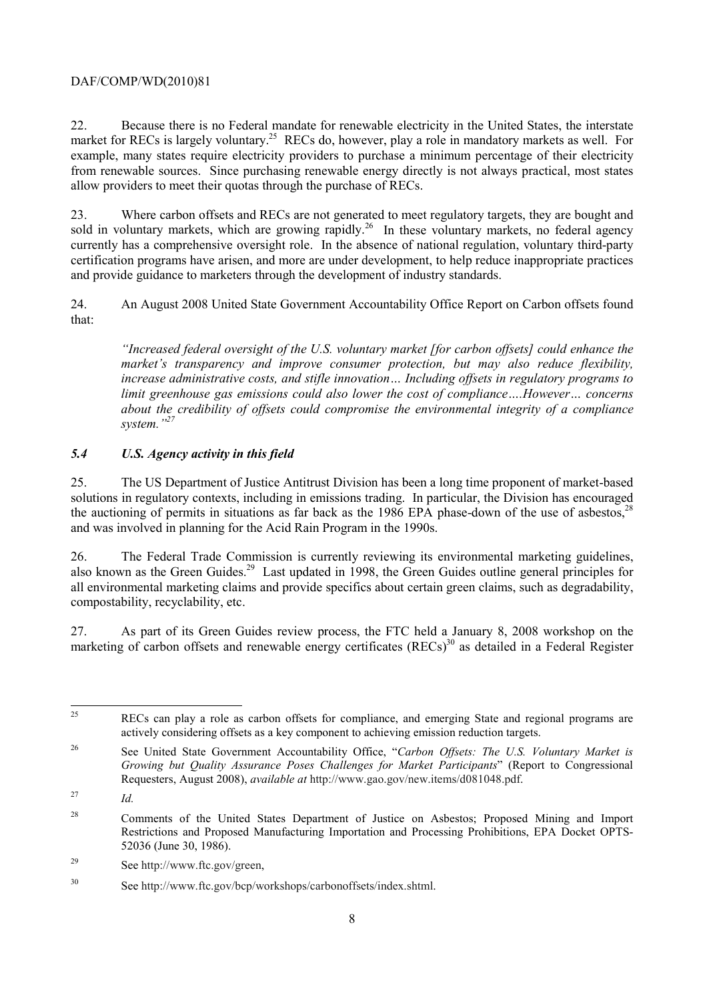from renewable sources. Since purchasing renewable energy directly is not always practical, most states 22. Because there is no Federal mandate for renewable electricity in the United States, the interstate market for RECs is largely voluntary.<sup>25</sup> RECs do, however, play a role in mandatory markets as well. For example, many states require electricity providers to purchase a minimum percentage of their electricity allow providers to meet their quotas through the purchase of RECs.

23. Where carbon offsets and RECs are not generated to meet regulatory targets, they are bought and sold in voluntary markets, which are growing rapidly.<sup>26</sup> In these voluntary markets, no federal agency currently has a comprehensive oversight role. In the absence of national regulation, voluntary third-party certification programs have arisen, and more are under development, to help reduce inappropriate practices and provide guidance to marketers through the development of industry standards.

24. An August 2008 United State Government Accountability Office Report on Carbon offsets found that:

 *increase administrative costs, and stifle innovation… Including offsets in regulatory programs to limit greenhouse gas emissions could also lower the cost of compliance….However… concerns "Increased federal oversight of the U.S. voluntary market [for carbon offsets] could enhance the market's transparency and improve consumer protection, but may also reduce flexibility, about the credibility of offsets could compromise the environmental integrity of a compliance system."27* 

## *5.4 U.S. Agency activity in this field*

25. The US Department of Justice Antitrust Division has been a long time proponent of market-based solutions in regulatory contexts, including in emissions trading. In particular, the Division has encouraged the auctioning of permits in situations as far back as the 1986 EPA phase-down of the use of asbestos, $^{28}$ and was involved in planning for the Acid Rain Program in the 1990s.

26. The Federal Trade Commission is currently reviewing its environmental marketing guidelines, also known as the Green Guides.<sup>29</sup> Last updated in 1998, the Green Guides outline general principles for all environmental marketing claims and provide specifics about certain green claims, such as degradability, compostability, recyclability, etc.

27. As part of its Green Guides review process, the FTC held a January 8, 2008 workshop on the marketing of carbon offsets and renewable energy certificates (RECs)<sup>30</sup> as detailed in a Federal Register

27 *Id.* 

 25 RECs can play a role as carbon offsets for compliance, and emerging State and regional programs are actively considering offsets as a key component to achieving emission reduction targets.

<sup>26</sup> 26 See United State Government Accountability Office, "*Carbon Offsets: The U.S. Voluntary Market is Growing but Quality Assurance Poses Challenges for Market Participants*" (Report to Congressional Requesters, August 2008), *available at* http://www.gao.gov/new.items/d081048.pdf.

<sup>28</sup> 28 Comments of the United States Department of Justice on Asbestos; Proposed Mining and Import Restrictions and Proposed Manufacturing Importation and Processing Prohibitions, EPA Docket OPTS-52036 (June 30, 1986).

<sup>29</sup> See http://www.ftc.gov/green,

<sup>30</sup> See http://www.ftc.gov/bcp/workshops/carbonoffsets/index.shtml.